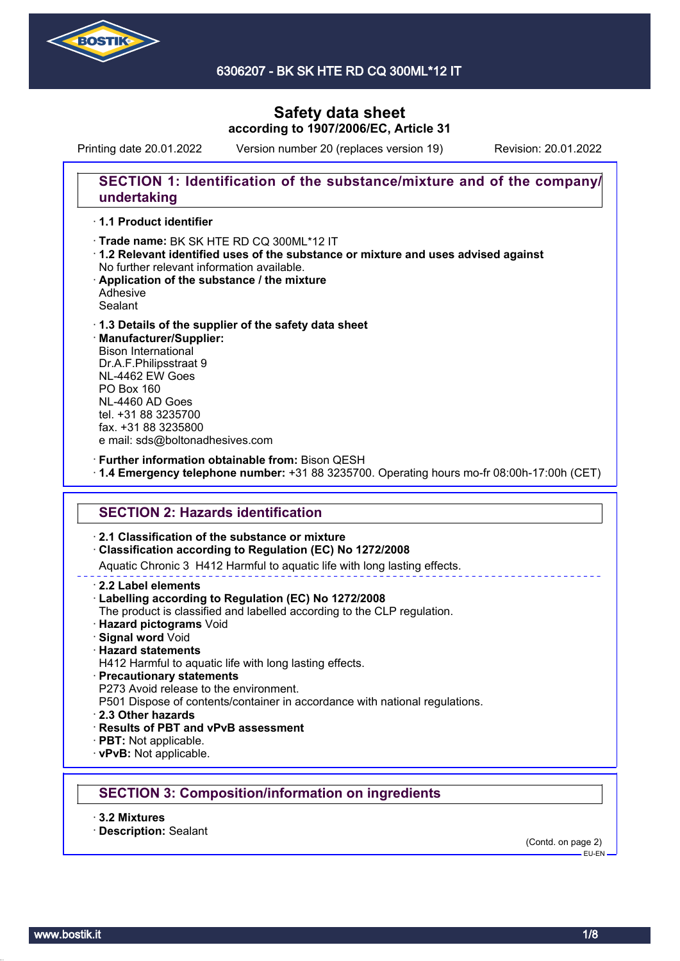

6306207 - BK SK HTE RD CQ 300ML\*12 IT

# **Safety data sheet according to 1907/2006/EC, Article 31**

Printing date 20.01.2022 Version number 20 (replaces version 19) Revision: 20.01.2022

## **SECTION 1: Identification of the substance/mixture and of the company/ undertaking**

## · **1.1 Product identifier**

· Trade name: BK SK HTE RD CQ 300ML\*12 IT

- · **1.2 Relevant identified uses of the substance or mixture and uses advised against** No further relevant information available.
- · **Application of the substance / the mixture** Adhesive
- Sealant

#### · **1.3 Details of the supplier of the safety data sheet** · **Manufacturer/Supplier:** Bison International Dr.A.F.Philipsstraat 9 NL-4462 EW Goes PO Box 160 NL-4460 AD Goes tel. +31 88 3235700

fax. +31 88 3235800

e mail: sds@boltonadhesives.com

· **Further information obtainable from:** Bison QESH

· **1.4 Emergency telephone number:** +31 88 3235700. Operating hours mo-fr 08:00h-17:00h (CET)

## **SECTION 2: Hazards identification**

### · **2.1 Classification of the substance or mixture**

· **Classification according to Regulation (EC) No 1272/2008**

Aquatic Chronic 3 H412 Harmful to aquatic life with long lasting effects.

· **2.2 Label elements**

#### · **Labelling according to Regulation (EC) No 1272/2008**

- The product is classified and labelled according to the CLP regulation.
- · **Hazard pictograms** Void
- · **Signal word** Void
- · **Hazard statements**

H412 Harmful to aquatic life with long lasting effects.

· **Precautionary statements**

P273 Avoid release to the environment.

P501 Dispose of contents/container in accordance with national regulations.

- · **2.3 Other hazards**
- · **Results of PBT and vPvB assessment**
- · **PBT:** Not applicable.
- · **vPvB:** Not applicable.

## **SECTION 3: Composition/information on ingredients**

- · **3.2 Mixtures**
- · **Description:** Sealant

(Contd. on page 2)  $-$ EU-EN-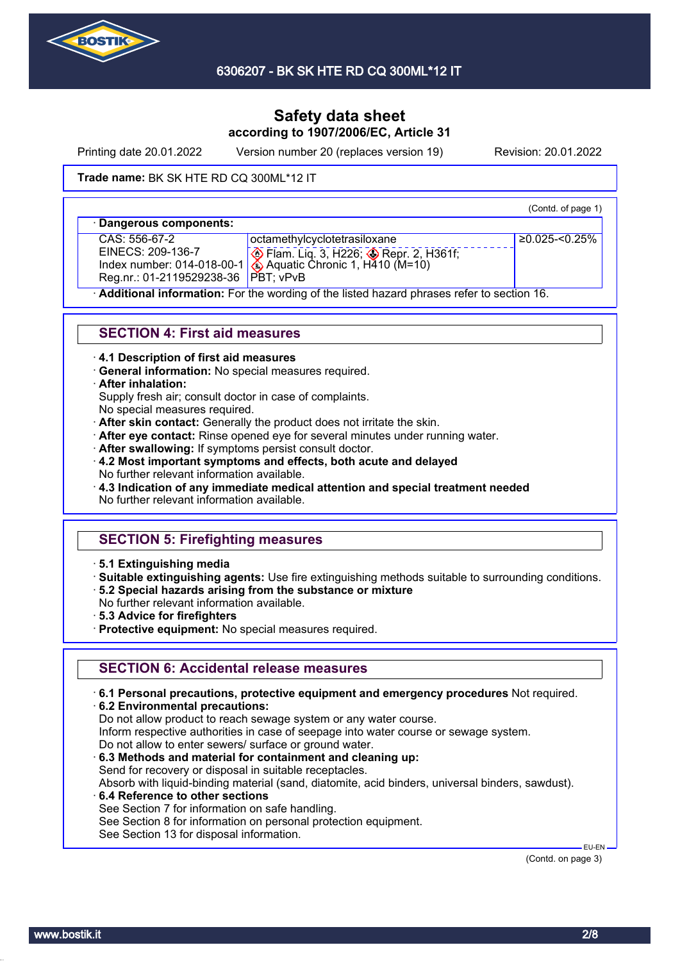

Printing date 20.01.2022 Version number 20 (replaces version 19) Revision: 20.01.2022

#### **Trade name: BK SK HTE RD CQ 300ML\*12 IT**

(Contd. of page 1)

| · Dangerous components:               |                                                                                              |                   |
|---------------------------------------|----------------------------------------------------------------------------------------------|-------------------|
| CAS: 556-67-2                         | octamethylcyclotetrasiloxane                                                                 | $≥0.025 - 0.25\%$ |
|                                       |                                                                                              |                   |
|                                       | EINECS: 209-136-7<br>Index number: 014-018-00-1 4 Aquatic Chronic 1, H410 (M=10)             |                   |
| Reg.nr.: 01-2119529238-36   PBT; vPvB |                                                                                              |                   |
|                                       | A delitional information: Foutherneoilles of the listed begand above as acted to a cation 40 |                   |

· **Additional information:** For the wording of the listed hazard phrases refer to section 16.

### **SECTION 4: First aid measures**

- · **4.1 Description of first aid measures**
- · **General information:** No special measures required.

#### · **After inhalation:**

Supply fresh air; consult doctor in case of complaints.

- No special measures required.
- · **After skin contact:** Generally the product does not irritate the skin.
- · **After eye contact:** Rinse opened eye for several minutes under running water.
- After swallowing: If symptoms persist consult doctor.
- · **4.2 Most important symptoms and effects, both acute and delayed** No further relevant information available.
- · **4.3 Indication of any immediate medical attention and special treatment needed**
- No further relevant information available.

# **SECTION 5: Firefighting measures**

- · **5.1 Extinguishing media**
- · **Suitable extinguishing agents:** Use fire extinguishing methods suitable to surrounding conditions.
- · **5.2 Special hazards arising from the substance or mixture**
- No further relevant information available.
- · **5.3 Advice for firefighters**
- · **Protective equipment:** No special measures required.

## **SECTION 6: Accidental release measures**

- · **6.1 Personal precautions, protective equipment and emergency procedures** Not required.
- · **6.2 Environmental precautions:**
- Do not allow product to reach sewage system or any water course.
- Inform respective authorities in case of seepage into water course or sewage system.
- Do not allow to enter sewers/ surface or ground water.
- · **6.3 Methods and material for containment and cleaning up:**
- Send for recovery or disposal in suitable receptacles. Absorb with liquid-binding material (sand, diatomite, acid binders, universal binders, sawdust).
- · **6.4 Reference to other sections**
- See Section 7 for information on safe handling.
- See Section 8 for information on personal protection equipment.
- See Section 13 for disposal information.

(Contd. on page 3)

EU-EN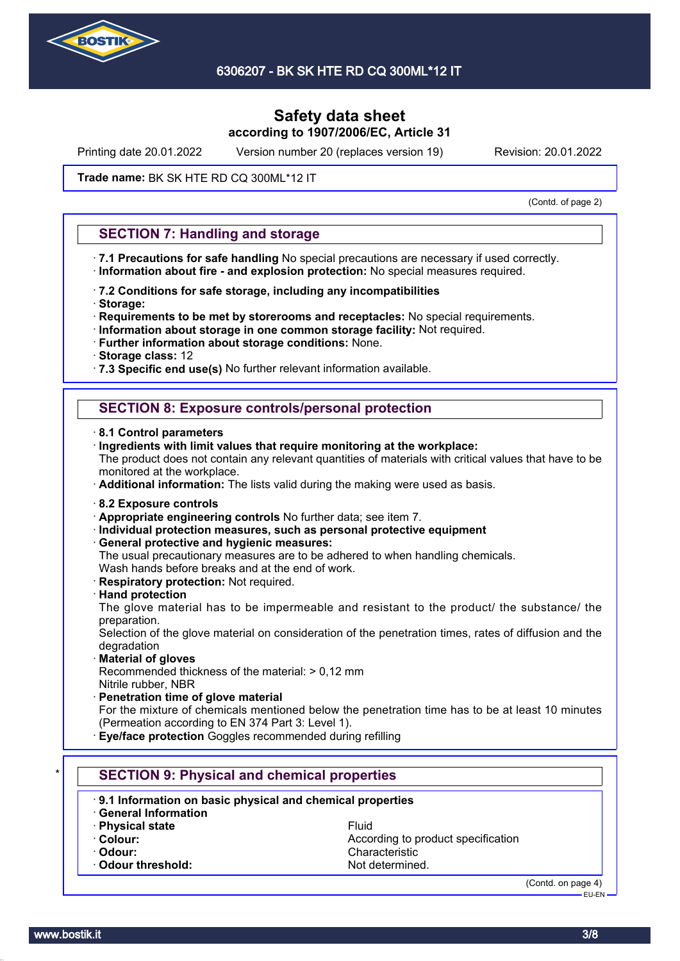

Printing date 20.01.2022 Version number 20 (replaces version 19) Revision: 20.01.2022

#### **Trade name: BK SK HTE RD CQ 300ML\*12 IT**

(Contd. of page 2)

|              | . 7.1 Precautions for safe handling No special precautions are necessary if used correctly.                                                          |
|--------------|------------------------------------------------------------------------------------------------------------------------------------------------------|
|              | · Information about fire - and explosion protection: No special measures required.                                                                   |
| · Storage:   | · 7.2 Conditions for safe storage, including any incompatibilities                                                                                   |
|              | Requirements to be met by storerooms and receptacles: No special requirements.                                                                       |
|              | Information about storage in one common storage facility: Not required.                                                                              |
|              | · Further information about storage conditions: None.                                                                                                |
|              | · Storage class: 12<br>· 7.3 Specific end use(s) No further relevant information available.                                                          |
|              |                                                                                                                                                      |
|              | <b>SECTION 8: Exposure controls/personal protection</b>                                                                                              |
|              | 8.1 Control parameters                                                                                                                               |
|              | Ingredients with limit values that require monitoring at the workplace:                                                                              |
|              | The product does not contain any relevant quantities of materials with critical values that have to be<br>monitored at the workplace.                |
|              | · Additional information: The lists valid during the making were used as basis.                                                                      |
|              | 8.2 Exposure controls                                                                                                                                |
|              | . Appropriate engineering controls No further data; see item 7.                                                                                      |
|              | · Individual protection measures, such as personal protective equipment                                                                              |
|              | · General protective and hygienic measures:                                                                                                          |
|              | The usual precautionary measures are to be adhered to when handling chemicals.<br>Wash hands before breaks and at the end of work.                   |
|              | · Respiratory protection: Not required.                                                                                                              |
|              | <b>Hand protection</b>                                                                                                                               |
|              | The glove material has to be impermeable and resistant to the product/ the substance/ the                                                            |
| preparation. |                                                                                                                                                      |
| degradation  | Selection of the glove material on consideration of the penetration times, rates of diffusion and the                                                |
|              | · Material of gloves                                                                                                                                 |
|              | Recommended thickness of the material: > 0,12 mm                                                                                                     |
|              | Nitrile rubber, NBR                                                                                                                                  |
|              | Penetration time of glove material                                                                                                                   |
|              | For the mixture of chemicals mentioned below the penetration time has to be at least 10 minutes<br>(Permeation according to EN 374 Part 3: Level 1). |
|              |                                                                                                                                                      |
|              | Eye/face protection Goggles recommended during refilling                                                                                             |

- · **9.1 Information on basic physical and chemical properties**
- · **General Information**
- **· Physical state** Fluid
- 
- 
- · Odour threshold: Not determined.

· **Colour:** Colour: **According to product specification** · **Odour:** Characteristic

<sup>(</sup>Contd. on page 4) -<br>EU-EN-

www.bostik.it 3/8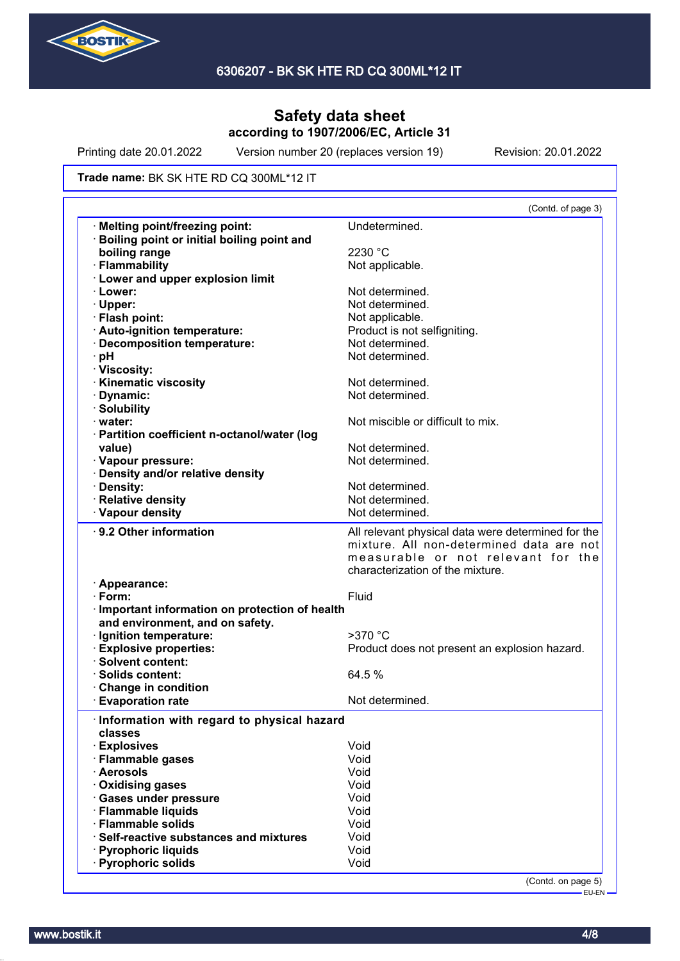

Printing date 20.01.2022 Version number 20 (replaces version 19) Revision: 20.01.2022

#### **Trade name: BK SK HTE RD CQ 300ML\*12 IT**

|                                                   | (Contd. of page 3)                                                                                                                   |
|---------------------------------------------------|--------------------------------------------------------------------------------------------------------------------------------------|
| <b>Melting point/freezing point:</b>              | Undetermined.                                                                                                                        |
| <b>Boiling point or initial boiling point and</b> |                                                                                                                                      |
| boiling range                                     | 2230 °C                                                                                                                              |
| · Flammability                                    | Not applicable.                                                                                                                      |
| <b>Lower and upper explosion limit</b>            |                                                                                                                                      |
| · Lower:                                          | Not determined.                                                                                                                      |
| $\cdot$ Upper:                                    | Not determined.                                                                                                                      |
| · Flash point:                                    | Not applicable.                                                                                                                      |
| · Auto-ignition temperature:                      | Product is not selfigniting.                                                                                                         |
| · Decomposition temperature:                      | Not determined.                                                                                                                      |
| ∙ pH                                              | Not determined.                                                                                                                      |
| · Viscosity:                                      |                                                                                                                                      |
| <b>Kinematic viscosity</b>                        | Not determined.                                                                                                                      |
| · Dynamic:                                        | Not determined.                                                                                                                      |
| · Solubility                                      |                                                                                                                                      |
| $\cdot$ water:                                    | Not miscible or difficult to mix.                                                                                                    |
| · Partition coefficient n-octanol/water (log      |                                                                                                                                      |
| value)                                            | Not determined.                                                                                                                      |
| · Vapour pressure:                                | Not determined.                                                                                                                      |
| · Density and/or relative density                 |                                                                                                                                      |
| · Density:                                        | Not determined.                                                                                                                      |
| · Relative density                                | Not determined.                                                                                                                      |
|                                                   |                                                                                                                                      |
| · Vapour density                                  | Not determined.                                                                                                                      |
| ⋅ 9.2 Other information                           | All relevant physical data were determined for the<br>mixture. All non-determined data are not<br>measurable or not relevant for the |
|                                                   | characterization of the mixture.                                                                                                     |
| · Appearance:                                     |                                                                                                                                      |
| $\cdot$ Form:                                     | Fluid                                                                                                                                |
| · Important information on protection of health   |                                                                                                                                      |
| and environment, and on safety.                   |                                                                                                                                      |
| · Ignition temperature:                           | $>370$ °C                                                                                                                            |
| · Explosive properties:                           | Product does not present an explosion hazard.                                                                                        |
| · Solvent content:                                |                                                                                                                                      |
| · Solids content:                                 | 64.5 %                                                                                                                               |
| Change in condition                               |                                                                                                                                      |
| <b>Evaporation rate</b>                           | Not determined.                                                                                                                      |
| Information with regard to physical hazard        |                                                                                                                                      |
|                                                   |                                                                                                                                      |
|                                                   |                                                                                                                                      |
| classes                                           |                                                                                                                                      |
| · Explosives                                      | Void                                                                                                                                 |
| · Flammable gases                                 | Void                                                                                                                                 |
| · Aerosols                                        | Void                                                                                                                                 |
| · Oxidising gases                                 | Void                                                                                                                                 |
| · Gases under pressure                            | Void                                                                                                                                 |
| · Flammable liquids                               | Void                                                                                                                                 |
| · Flammable solids                                | Void                                                                                                                                 |
| · Self-reactive substances and mixtures           | Void                                                                                                                                 |
| · Pyrophoric liquids<br>· Pyrophoric solids       | Void<br>Void                                                                                                                         |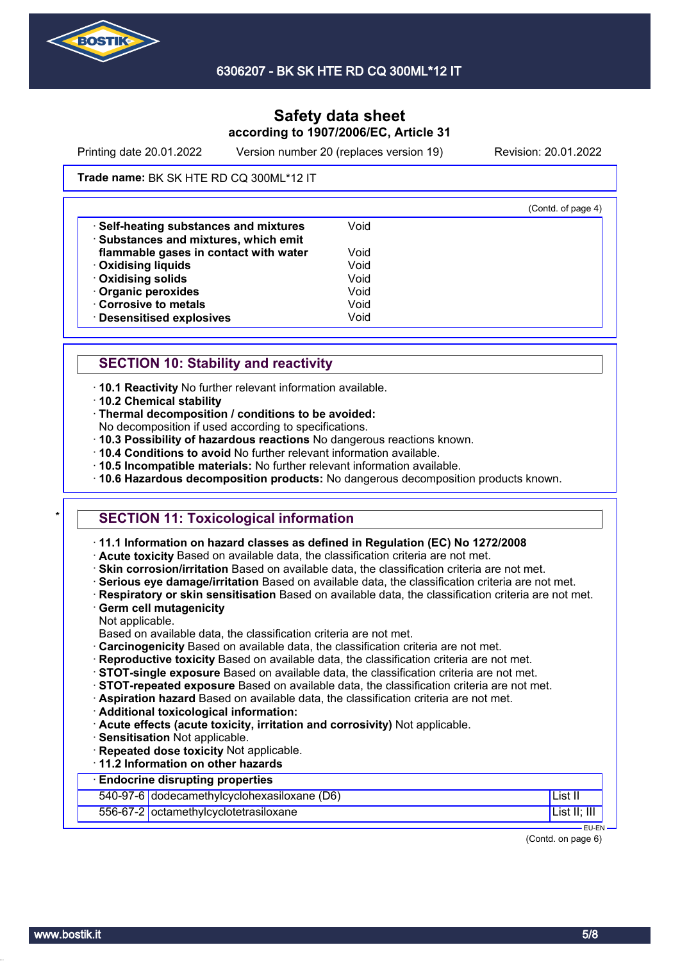

Printing date 20.01.2022 Version number 20 (replaces version 19) Revision: 20.01.2022

#### **Trade name: BK SK HTE RD CQ 300ML\*12 IT**

|                                       |      | (Contd. of page 4) |
|---------------------------------------|------|--------------------|
| Self-heating substances and mixtures  | Void |                    |
| · Substances and mixtures, which emit |      |                    |
| flammable gases in contact with water | Void |                    |
| <b>Oxidising liquids</b>              | Void |                    |
| Oxidising solids                      | Void |                    |
| · Organic peroxides                   | Void |                    |
| Corrosive to metals                   | Void |                    |
| · Desensitised explosives             | Void |                    |

## **SECTION 10: Stability and reactivity**

· **10.1 Reactivity** No further relevant information available.

- · **10.2 Chemical stability**
- · **Thermal decomposition / conditions to be avoided:**
- No decomposition if used according to specifications.
- · **10.3 Possibility of hazardous reactions** No dangerous reactions known.
- · **10.4 Conditions to avoid** No further relevant information available.
- · **10.5 Incompatible materials:** No further relevant information available.
- · **10.6 Hazardous decomposition products:** No dangerous decomposition products known.

## **SECTION 11: Toxicological information**

- · **11.1 Information on hazard classes as defined in Regulation (EC) No 1272/2008**
- · **Acute toxicity** Based on available data, the classification criteria are not met.
- · **Skin corrosion/irritation** Based on available data, the classification criteria are not met.
- · **Serious eye damage/irritation** Based on available data, the classification criteria are not met.
- · **Respiratory or skin sensitisation** Based on available data, the classification criteria are not met.
- · **Germ cell mutagenicity**
- Not applicable.

Based on available data, the classification criteria are not met.

- · **Carcinogenicity** Based on available data, the classification criteria are not met.
- · **Reproductive toxicity** Based on available data, the classification criteria are not met.
- · **STOT-single exposure** Based on available data, the classification criteria are not met.
- · **STOT-repeated exposure** Based on available data, the classification criteria are not met.
- · **Aspiration hazard** Based on available data, the classification criteria are not met.
- · **Additional toxicological information:**
- · **Acute effects (acute toxicity, irritation and corrosivity)** Not applicable.
- · **Sensitisation** Not applicable.
- · **Repeated dose toxicity** Not applicable.
- · **11.2 Information on other hazards**

## · **Endocrine disrupting properties**

540-97-6 dodecamethylcyclohexasiloxane (D6) List II

### 556-67-2 octamethylcyclotetrasiloxane List II; III

 EU-EN (Contd. on page 6)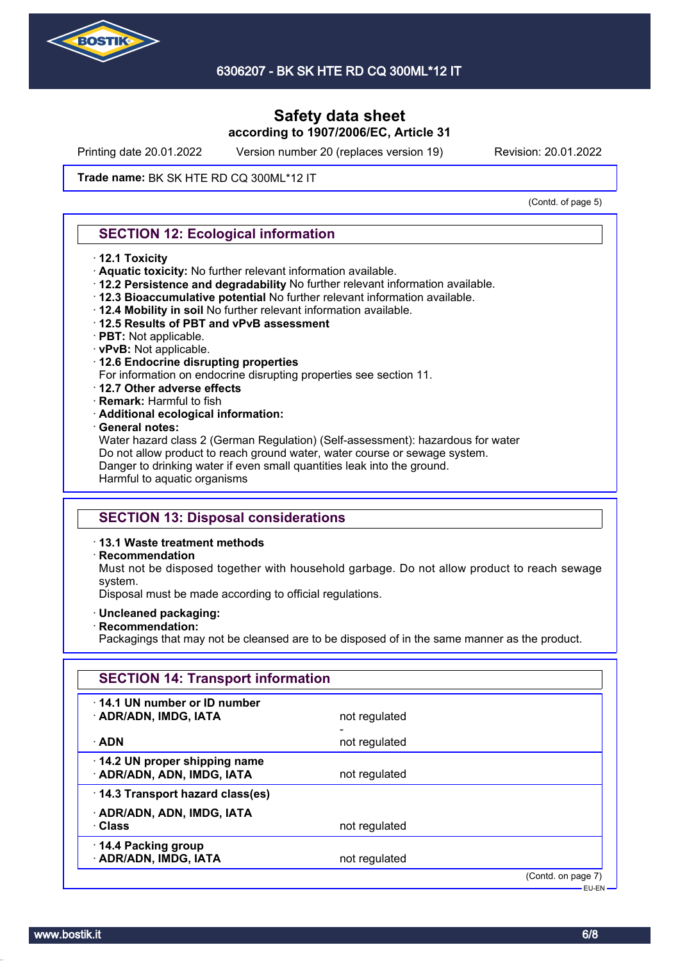

Printing date 20.01.2022 Version number 20 (replaces version 19) Revision: 20.01.2022

#### **Trade name: BK SK HTE RD CQ 300ML\*12 IT**

(Contd. of page 5)

### **SECTION 12: Ecological information**

- · **12.1 Toxicity**
- · **Aquatic toxicity:** No further relevant information available.
- · **12.2 Persistence and degradability** No further relevant information available.
- · **12.3 Bioaccumulative potential** No further relevant information available.
- · **12.4 Mobility in soil** No further relevant information available.
- · **12.5 Results of PBT and vPvB assessment**
- · **PBT:** Not applicable.
- · **vPvB:** Not applicable.
- · **12.6 Endocrine disrupting properties**
- For information on endocrine disrupting properties see section 11.
- · **12.7 Other adverse effects**
- · **Remark:** Harmful to fish
- · **Additional ecological information:**
- · **General notes:**

Water hazard class 2 (German Regulation) (Self-assessment): hazardous for water Do not allow product to reach ground water, water course or sewage system. Danger to drinking water if even small quantities leak into the ground. Harmful to aquatic organisms

### **SECTION 13: Disposal considerations**

#### · **13.1 Waste treatment methods**

· **Recommendation**

Must not be disposed together with household garbage. Do not allow product to reach sewage system.

Disposal must be made according to official regulations.

- · **Uncleaned packaging:**
- · **Recommendation:**

Packagings that may not be cleansed are to be disposed of in the same manner as the product.

| 14.1 UN number or ID number                                |               |  |
|------------------------------------------------------------|---------------|--|
| · ADR/ADN, IMDG, IATA                                      | not regulated |  |
|                                                            |               |  |
| · ADN                                                      | not regulated |  |
| 14.2 UN proper shipping name<br>· ADR/ADN, ADN, IMDG, IATA | not regulated |  |
| 14.3 Transport hazard class(es)                            |               |  |
| · ADR/ADN, ADN, IMDG, IATA                                 |               |  |
| · Class                                                    | not regulated |  |
| 14.4 Packing group                                         |               |  |
| · ADR/ADN, IMDG, IATA                                      | not regulated |  |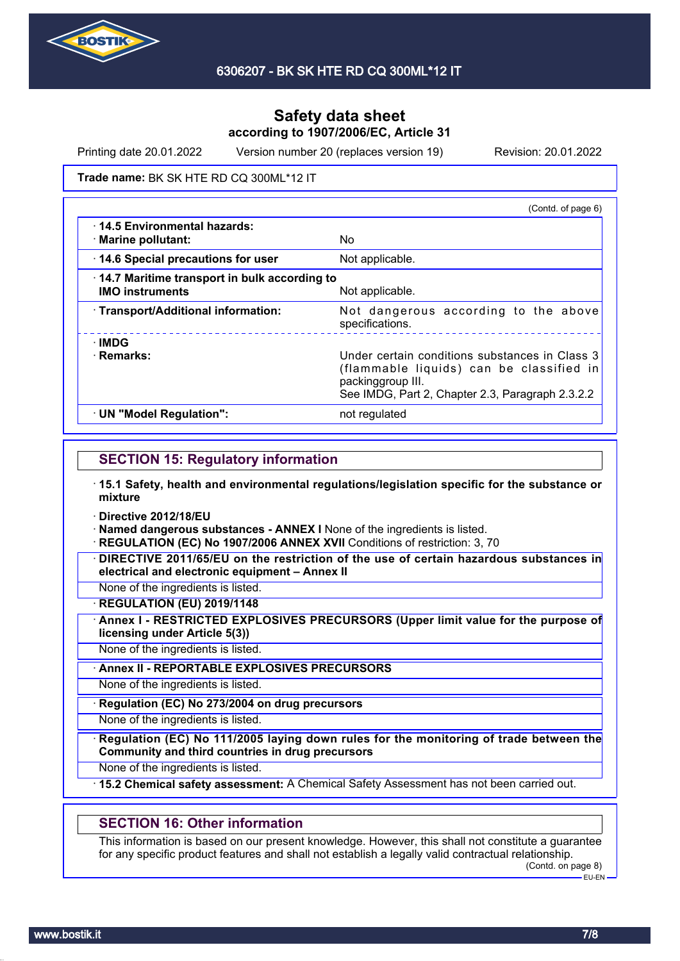

Printing date 20.01.2022 Version number 20 (replaces version 19) Revision: 20.01.2022

**Trade name: BK SK HTE RD CQ 300ML\*12 IT** 

|                                                                        | (Contd. of page 6)                                                                                                                                                  |
|------------------------------------------------------------------------|---------------------------------------------------------------------------------------------------------------------------------------------------------------------|
| 14.5 Environmental hazards:<br>· Marine pollutant:                     | No                                                                                                                                                                  |
| 14.6 Special precautions for user                                      | Not applicable.                                                                                                                                                     |
| 14.7 Maritime transport in bulk according to<br><b>IMO instruments</b> | Not applicable.                                                                                                                                                     |
| · Transport/Additional information:                                    | Not dangerous according to the above<br>specifications.                                                                                                             |
| ∴IMDG<br>· Remarks:                                                    | Under certain conditions substances in Class 3<br>(flammable liquids) can be classified in<br>packinggroup III.<br>See IMDG, Part 2, Chapter 2.3, Paragraph 2.3.2.2 |
| · UN "Model Regulation":                                               | not regulated                                                                                                                                                       |

### **SECTION 15: Regulatory information**

- · **15.1 Safety, health and environmental regulations/legislation specific for the substance or mixture**
- · **Directive 2012/18/EU**
- · **Named dangerous substances ANNEX I** None of the ingredients is listed.
- · **REGULATION (EC) No 1907/2006 ANNEX XVII** Conditions of restriction: 3, 70
- · **DIRECTIVE 2011/65/EU on the restriction of the use of certain hazardous substances in electrical and electronic equipment – Annex II**

None of the ingredients is listed.

· **REGULATION (EU) 2019/1148**

· **Annex I - RESTRICTED EXPLOSIVES PRECURSORS (Upper limit value for the purpose of licensing under Article 5(3))**

None of the ingredients is listed.

· **Annex II - REPORTABLE EXPLOSIVES PRECURSORS**

None of the ingredients is listed.

· **Regulation (EC) No 273/2004 on drug precursors**

None of the ingredients is listed.

· **Regulation (EC) No 111/2005 laying down rules for the monitoring of trade between the Community and third countries in drug precursors**

None of the ingredients is listed.

· **15.2 Chemical safety assessment:** A Chemical Safety Assessment has not been carried out.

## **SECTION 16: Other information**

This information is based on our present knowledge. However, this shall not constitute a guarantee for any specific product features and shall not establish a legally valid contractual relationship. (Contd. on page 8)

EU-EN